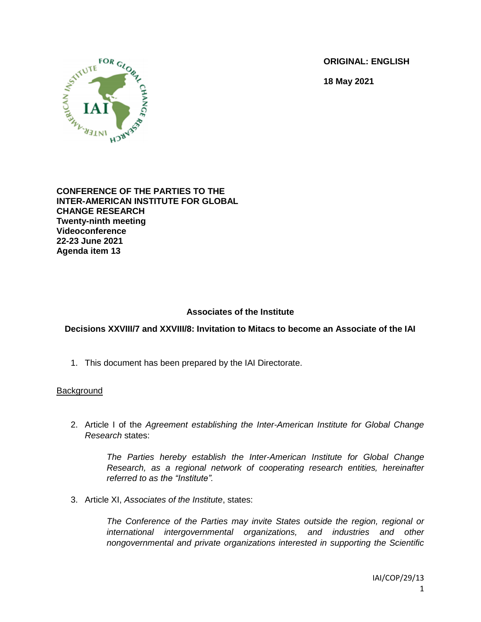**ORIGINAL: ENGLISH**

**18 May 2021**



**CONFERENCE OF THE PARTIES TO THE INTER-AMERICAN INSTITUTE FOR GLOBAL CHANGE RESEARCH Twenty-ninth meeting Videoconference 22-23 June 2021 Agenda item 13**

# **Associates of the Institute**

# **Decisions XXVIII/7 and XXVIII/8: Invitation to Mitacs to become an Associate of the IAI**

1. This document has been prepared by the IAI Directorate.

### **Background**

2. Article I of the *Agreement establishing the Inter-American Institute for Global Change Research* states:

> *The Parties hereby establish the Inter-American Institute for Global Change Research, as a regional network of cooperating research entities, hereinafter referred to as the "Institute".*

3. Article XI, *Associates of the Institute*, states:

*The Conference of the Parties may invite States outside the region, regional or international intergovernmental organizations, and industries and other nongovernmental and private organizations interested in supporting the Scientific*